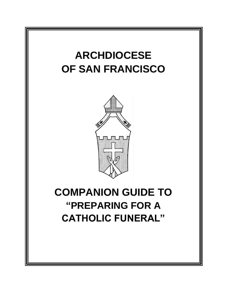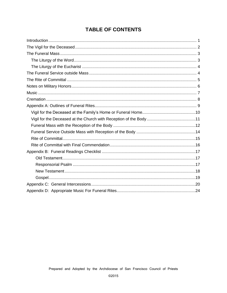# **TABLE OF CONTENTS**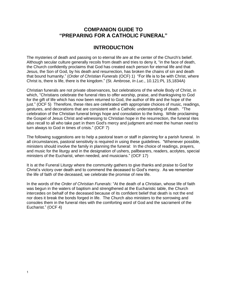### **COMPANION GUIDE TO "PREPARING FOR A CATHOLIC FUNERAL"**

# **INTRODUCTION**

<span id="page-2-0"></span>The mysteries of death and passing on to eternal life are at the center of the Church's belief. Although secular culture generally recoils from death and tries to deny it, "in the face of death, the Church confidently proclaims that God has created each person for eternal life and that Jesus, the Son of God, by his death and resurrection, has broken the chains of sin and death that bound humanity." (*Order of Christian Funerals* (OCF) 1) "For life is to be with Christ, where Christ is, there is life, there is the kingdom." (St. Ambrose, *In Luc*., 10.121:PL 15,1834A)

Christian funerals are not private observances, but celebrations of the whole Body of Christ, in which, "Christians celebrate the funeral rites to offer worship, praise, and thanksgiving to God for the gift of life which has now been returned to God, the author of life and the hope of the just." (OCF 5) Therefore, these rites are celebrated with appropriate choices of music, readings, gestures, and decorations that are consistent with a Catholic understanding of death. "The celebration of the Christian funeral brings hope and consolation to the living. While proclaiming the Gospel of Jesus Christ and witnessing to Christian hope in the resurrection, the funeral rites also recall to all who take part in them God's mercy and judgment and meet the human need to turn always to God in times of crisis." (OCF 7)

The following suggestions are to help a pastoral team or staff in planning for a parish funeral. In all circumstances, pastoral sensitivity is required in using these guidelines. "Whenever possible, ministers should involve the family in planning the funeral: In the choice of readings, prayers, and music for the liturgy and in the designation of ushers, pallbearers, readers, acolytes, special ministers of the Eucharist, when needed, and musicians." (OCF 17)

It is at the Funeral Liturgy where the community gathers to give thanks and praise to God for Christ's victory over death and to commend the deceased to God's mercy. As we remember the life of faith of the deceased, we celebrate the promise of new life.

In the words of the *Order of Christian Funerals*: "At the death of a Christian, whose life of faith was begun in the waters of baptism and strengthened at the Eucharistic table, the Church intercedes on behalf of the deceased because of its confident belief that death is not the end nor does it break the bonds forged in life. The Church also ministers to the sorrowing and consoles them in the funeral rites with the comforting word of God and the sacrament of the Eucharist." (OCF 4)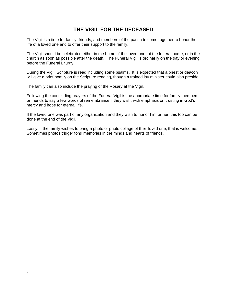# **THE VIGIL FOR THE DECEASED**

<span id="page-3-0"></span>The Vigil is a time for family, friends, and members of the parish to come together to honor the life of a loved one and to offer their support to the family.

The Vigil should be celebrated either in the home of the loved one, at the funeral home, or in the church as soon as possible after the death. The Funeral Vigil is ordinarily on the day or evening before the Funeral Liturgy.

During the Vigil, Scripture is read including some psalms. It is expected that a priest or deacon will give a brief homily on the Scripture reading, though a trained lay minister could also preside.

The family can also include the praying of the Rosary at the Vigil.

Following the concluding prayers of the Funeral Vigil is the appropriate time for family members or friends to say a few words of remembrance if they wish, with emphasis on trusting in God's mercy and hope for eternal life.

If the loved one was part of any organization and they wish to honor him or her, this too can be done at the end of the Vigil.

Lastly, if the family wishes to bring a photo or photo collage of their loved one, that is welcome. Sometimes photos trigger fond memories in the minds and hearts of friends.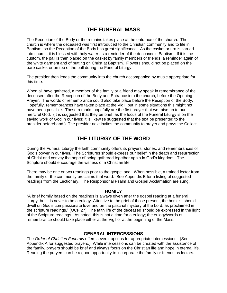### **THE FUNERAL MASS**

<span id="page-4-0"></span>The Reception of the Body or the remains takes place at the entrance of the church. The church is where the deceased was first introduced to the Christian community and to life in Baptism, so the Reception of the Body has great significance. As the casket or urn is carried into church, it is blessed with holy water as a reminder of the deceased's Baptism. If it is the custom, the pall is then placed on the casket by family members or friends, a reminder again of the white garment and of putting on Christ at Baptism. Flowers should not be placed on the bare casket or on top of the pall during the Funeral Liturgy.

The presider then leads the community into the church accompanied by music appropriate for this time.

When all have gathered, a member of the family or a friend may speak in remembrance of the deceased after the Reception of the Body and Entrance into the church, before the Opening Prayer. The words of remembrance could also take place before the Reception of the Body. Hopefully, remembrances have taken place at the Vigil, but in some situations this might not have been possible. These remarks hopefully are the first prayer that we raise up to our merciful God. (It is suggested that they be brief, as the focus of the Funeral Liturgy is on the saving work of God in our lives; it is likewise suggested that the text be presented to the presider beforehand.) The presider next invites the community to prayer and prays the Collect.

# **THE LITURGY OF THE WORD**

<span id="page-4-1"></span>During the Funeral Liturgy the faith community offers its prayers, stories, and remembrances of God's power in our lives. The Scriptures should express our belief in the death and resurrection of Christ and convey the hope of being gathered together again in God's kingdom. The Scripture should encourage the witness of a Christian life.

There may be one or two readings prior to the gospel and. When possible, a trained lector from the family or the community proclaims that word. See Appendix B for a listing of suggested readings from the Lectionary. The Responsorial Psalm and Gospel Acclamation are sung.

#### **HOMILY**

"A brief homily based on the readings is always given after the gospel reading at a funeral liturgy, but it is never to be a eulogy. Attentive to the grief of those present, the homilist should dwell on God's compassionate love and on the paschal mystery of the Lord, as proclaimed in the scripture readings." (OCF 27) The faith life of the deceased should be expressed in the light of the Scripture readings. As noted, this is not a time for a eulogy; the eulogy/words of remembrance should take place either at the Vigil or at the beginning of the Mass.

### **GENERAL INTERCESSIONS**

The *Order of Christian Funerals* offers several options for appropriate intercessions. (See Appendix A for suggested prayers.) While intercessions can be created with the assistance of the family, prayers should be brief and always focus on the Christian life and hope in eternal life. Reading the prayers can be a good opportunity to incorporate the family or friends as lectors.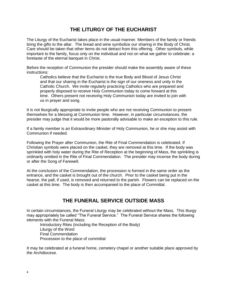# **THE LITURGY OF THE EUCHARIST**

<span id="page-5-0"></span>The Liturgy of the Eucharist takes place in the usual manner. Members of the family or friends bring the gifts to the altar. The bread and wine symbolize our sharing in the Body of Christ. Care should be taken that other items do not detract from this offering. Other symbols, while important to the family, focus only on the individual and not on what we gather to celebrate: a foretaste of the eternal banquet in Christ.

Before the reception of Communion the presider should make the assembly aware of these instructions:

Catholics believe that the Eucharist is the true Body and Blood of Jesus Christ and that our sharing in the Eucharist is the sign of our oneness and unity in the Catholic Church. We invite regularly practicing Catholics who are prepared and properly disposed to receive Holy Communion today to come forward at this time. Others present not receiving Holy Communion today are invited to join with us in prayer and song.

It is not liturgically appropriate to invite people who are not receiving Communion to present themselves for a blessing at Communion time. However, in particular circumstances, the presider may judge that it would be more pastorally advisable to make an exception to this rule.

If a family member is an Extraordinary Minister of Holy Communion, he or she may assist with Communion if needed.

Following the Prayer after Communion, the Rite of Final Commendation is celebrated. If Christian symbols were placed on the casket, they are removed at this time. If the body was sprinkled with holy water during the Rite of Reception at the beginning of Mass, the sprinkling is ordinarily omitted in the Rite of Final Commendation. The presider may incense the body during or after the Song of Farewell.

At the conclusion of the Commendation, the procession is formed in the same order as the entrance, and the casket is brought out of the church. Prior to the casket being put in the hearse, the pall, if used, is removed and returned to the parish. Flowers can be replaced on the casket at this time. The body is then accompanied to the place of Committal.

## **THE FUNERAL SERVICE OUTSIDE MASS**

<span id="page-5-1"></span>In certain circumstances, the Funeral Liturgy may be celebrated without the Mass. This liturgy may appropriately be called "The Funeral Service." The Funeral Service shares the following elements with the Funeral Mass:

Introductory Rites (including the Reception of the Body) Liturgy of the Word Final Commendation Procession to the place of committal

It may be celebrated at a funeral home, cemetery chapel or another suitable place approved by the Archdiocese.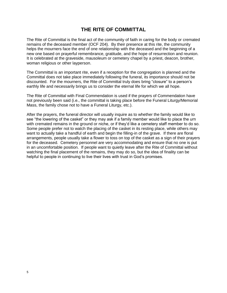### **THE RITE OF COMMITTAL**

<span id="page-6-0"></span>The Rite of Committal is the final act of the community of faith in caring for the body or cremated remains of the deceased member (OCF 204). By their presence at this rite, the community helps the mourners face the end of one relationship with the deceased and the beginning of a new one based on prayerful remembrance, gratitude, and the hope of resurrection and reunion. It is celebrated at the graveside, mausoleum or cemetery chapel by a priest, deacon, brother, woman religious or other layperson.

The Committal is an important rite, even if a reception for the congregation is planned and the Committal does not take place immediately following the funeral, its importance should not be discounted. For the mourners, the Rite of Committal truly does bring "closure" to a person's earthly life and necessarily brings us to consider the eternal life for which we all hope.

The Rite of Committal with Final Commendation is used if the prayers of Commendation have not previously been said (i.e., the committal is taking place before the Funeral Liturgy/Memorial Mass, the family chose not to have a Funeral Liturgy, etc.).

After the prayers, the funeral director will usually inquire as to whether the family would like to see "the lowering of the casket" or they may ask if a family member would like to place the urn with cremated remains in the ground or niche, or if they'd like a cemetery staff member to do so. Some people prefer not to watch the placing of the casket in its resting place, while others may want to actually take a handful of earth and begin the filling-in of the grave. If there are floral arrangements, people usually take a flower to toss on top of the casket as a sign of their prayers for the deceased. Cemetery personnel are very accommodating and ensure that no one is put in an uncomfortable position. If people want to quietly leave after the Rite of Committal without watching the final placement of the remains, they may do so, but the idea of finality can be helpful to people in continuing to live their lives with trust in God's promises.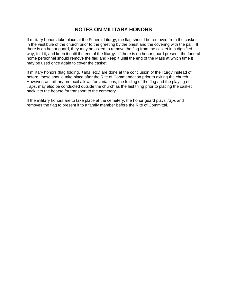### **NOTES ON MILITARY HONORS**

<span id="page-7-0"></span>If military honors take place at the Funeral Liturgy, the flag should be removed from the casket in the vestibule of the church prior to the greeting by the priest and the covering with the pall. If there is an honor guard, they may be asked to remove the flag from the casket in a dignified way, fold it, and keep it until the end of the liturgy. If there is no honor guard present, the funeral home personnel should remove the flag and keep it until the end of the Mass at which time it may be used once again to cover the casket.

If military honors (flag folding, *Taps*, etc.) are done at the conclusion of the liturgy instead of before, these should take place after the Rite of Commendation prior to exiting the church. However, as military protocol allows for variations, the folding of the flag and the playing of *Taps*, may also be conducted outside the church as the last thing prior to placing the casket back into the hearse for transport to the cemetery.

If the military honors are to take place at the cemetery, the honor guard plays *Taps* and removes the flag to present it to a family member before the Rite of Committal.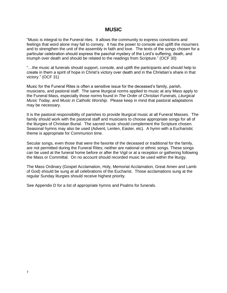### **MUSIC**

"Music is integral to the Funeral rites. It allows the community to express convictions and feelings that word alone may fail to convey. It has the power to console and uplift the mourners and to strengthen the unit of the assembly in faith and love. The texts of the songs chosen for a particular celebration should express the paschal mystery of the Lord's suffering, death, and triumph over death and should be related to the readings from Scripture." (OCF 30)

"…the music at funerals should support, console, and uplift the participants and should help to create in them a spirit of hope in Christ's victory over death and in the Christian's share in that victory." (OCF 31)

Music for the Funeral Rites is often a sensitive issue for the deceased's family, parish, musicians, and pastoral staff. The same liturgical norms applied to music at any Mass apply to the Funeral Mass, especially those norms found in *The Order of Christian Funerals, Liturgical Music Today,* and *Music in Catholic Worship.* Please keep in mind that pastoral adaptations may be necessary.

It is the pastoral responsibility of parishes to provide liturgical music at all Funeral Masses. The family should work with the pastoral staff and musicians to choose appropriate songs for all of the liturgies of Christian Burial. The sacred music should complement the Scripture chosen. Seasonal hymns may also be used (Advent, Lenten, Easter, etc). A hymn with a Eucharistic theme is appropriate for Communion time.

Secular songs, even those that were the favorite of the deceased or traditional for the family, are not permitted during the Funeral Rites; neither are national or ethnic songs. These songs can be used at the funeral home before or after the Vigil or at a reception or gathering following the Mass or Committal. On no account should recorded music be used within the liturgy.

The Mass Ordinary (Gospel Acclamation, Holy, Memorial Acclamation, Great Amen and Lamb of God) should be sung at all celebrations of the Eucharist. Those acclamations sung at the regular Sunday liturgies should receive highest priority.

See Appendix D for a list of appropriate hymns and Psalms for funerals.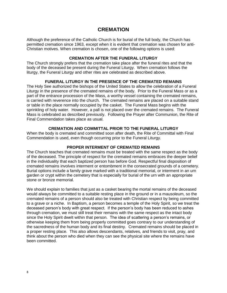### **CREMATION**

<span id="page-9-0"></span>Although the preference of the Catholic Church is for burial of the full body, the Church has permitted cremation since 1963, except when it is evident that cremation was chosen for anti-Christian motives. When cremation is chosen, one of the following options is used:

#### **CREMATION AFTER THE FUNERAL LITURGY**

The Church strongly prefers that the cremation take place after the funeral rites and that the body of the deceased be present during the Funeral Liturgy. When cremation follows the liturgy, the Funeral Liturgy and other rites are celebrated as described above.

#### **FUNERAL LITURGY IN THE PRESENCE OF THE CREMATED REMAINS**

The Holy See authorized the bishops of the United States to allow the celebration of a Funeral Liturgy in the presence of the cremated remains of the body. Prior to the Funeral Mass or as a part of the entrance procession of the Mass, a worthy vessel containing the cremated remains, is carried with reverence into the church. The cremated remains are placed on a suitable stand or table in the place normally occupied by the casket. The Funeral Mass begins with the sprinkling of holy water. However, a pall is not placed over the cremated remains. The Funeral Mass is celebrated as described previously. Following the Prayer after Communion, the Rite of Final Commendation takes place as usual.

#### **CREMATION AND COMMITTAL PRIOR TO THE FUNERAL LITURGY**

When the body is cremated and committed soon after death, the Rite of Committal with Final Commendation is used, even though occurring prior to the Funeral Liturgy.

#### **PROPER INTERMENT OF CREMATED REMAINS**

The Church teaches that cremated remains must be treated with the same respect as the body of the deceased. The principle of respect for the cremated remains embraces the deeper belief in the individuality that each baptized person has before God. Respectful final disposition of cremated remains involves interment or entombment in the consecrated grounds of a cemetery. Burial options include a family grave marked with a traditional memorial, or interment in an urn garden or crypt within the cemetery that is especially for burial of the urn with an appropriate stone or bronze memorial.

We should explain to families that just as a casket bearing the mortal remains of the deceased would always be committed to a suitable resting place in the ground or in a mausoleum, so the cremated remains of a person should also be treated with Christian respect by being committed to a grave or a niche. In Baptism, a person becomes a temple of the Holy Spirit, so we treat the deceased person's body with great respect. If the person's body has been reduced to ashes through cremation, we must still treat their remains with the same respect as the intact body since the Holy Spirit dwelt within that person. The idea of scattering a person's remains, or otherwise keeping them from being properly committed goes contrary to our understanding of the sacredness of the human body and its final destiny. Cremated remains should be placed in a proper resting place. This also allows descendants, relatives, and friends to visit, pray, and think about the person who died when they can see the physical site where the remains have been committed.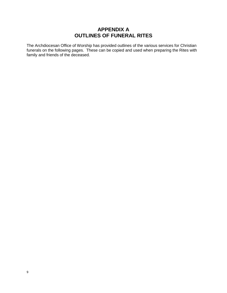# **APPENDIX A OUTLINES OF FUNERAL RITES**

<span id="page-10-0"></span>The Archdiocesan Office of Worship has provided outlines of the various services for Christian funerals on the following pages. These can be copied and used when preparing the Rites with family and friends of the deceased.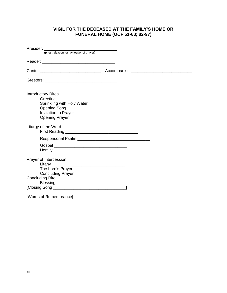### **VIGIL FOR THE DECEASED AT THE FAMILY'S HOME OR FUNERAL HOME (OCF 51-68; 82-97)**

<span id="page-11-1"></span><span id="page-11-0"></span>

| Presider: (priest, deacon, or lay leader of prayer)                                                                         |  |
|-----------------------------------------------------------------------------------------------------------------------------|--|
|                                                                                                                             |  |
|                                                                                                                             |  |
|                                                                                                                             |  |
| <b>Introductory Rites</b><br>Greeting<br>Sprinkling with Holy Water<br><b>Invitation to Prayer</b><br><b>Opening Prayer</b> |  |
| Liturgy of the Word                                                                                                         |  |
|                                                                                                                             |  |
| Homily                                                                                                                      |  |
| Prayer of Intercession<br>The Lord's Prayer<br><b>Concluding Prayer</b><br><b>Concluding Rite</b>                           |  |
| <b>Blessing</b>                                                                                                             |  |
|                                                                                                                             |  |
| [Words of Remembrance]                                                                                                      |  |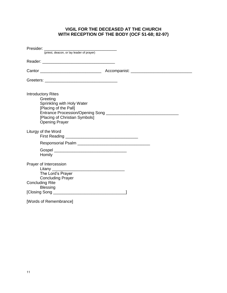### **VIGIL FOR THE DECEASED AT THE CHURCH WITH RECEPTION OF THE BODY (OCF 51-68; 82-97)**

<span id="page-12-0"></span>

| Presider: (priest, deacon, or lay leader of prayer)                                                                                                     |  |
|---------------------------------------------------------------------------------------------------------------------------------------------------------|--|
|                                                                                                                                                         |  |
|                                                                                                                                                         |  |
|                                                                                                                                                         |  |
|                                                                                                                                                         |  |
| <b>Introductory Rites</b><br>Greeting<br>Sprinkling with Holy Water<br>[Placing of the Pall]<br>[Placing of Christian Symbols]<br><b>Opening Prayer</b> |  |
| Liturgy of the Word                                                                                                                                     |  |
|                                                                                                                                                         |  |
| Homily                                                                                                                                                  |  |
| Prayer of Intercession<br>The Lord's Prayer<br><b>Concluding Prayer</b>                                                                                 |  |
| <b>Concluding Rite</b>                                                                                                                                  |  |
| <b>Blessing</b>                                                                                                                                         |  |
|                                                                                                                                                         |  |
| [Words of Remembrance]                                                                                                                                  |  |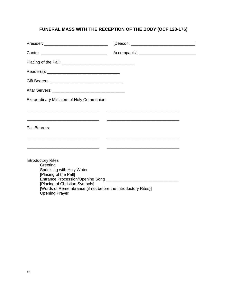# <span id="page-13-0"></span>**FUNERAL MASS WITH THE RECEPTION OF THE BODY (OCF 128-176)**

| <b>Extraordinary Ministers of Holy Communion:</b>                                                                                                                                                                        |  |
|--------------------------------------------------------------------------------------------------------------------------------------------------------------------------------------------------------------------------|--|
|                                                                                                                                                                                                                          |  |
| Pall Bearers:                                                                                                                                                                                                            |  |
|                                                                                                                                                                                                                          |  |
| <b>Introductory Rites</b><br>Greeting<br>Sprinkling with Holy Water<br>[Placing of the Pall]<br>[Placing of Christian Symbols]<br>[Words of Remembrance (if not before the Introductory Rites)]<br><b>Opening Prayer</b> |  |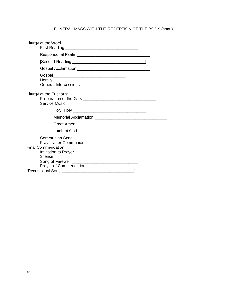# FUNERAL MASS WITH THE RECEPTION OF THE BODY (cont.)

| Liturgy of the Word                        |                                                              |  |
|--------------------------------------------|--------------------------------------------------------------|--|
|                                            |                                                              |  |
|                                            |                                                              |  |
|                                            |                                                              |  |
| Homily                                     | <b>General Intercessions</b>                                 |  |
| Liturgy of the Eucharist<br>Service Music: |                                                              |  |
|                                            |                                                              |  |
|                                            |                                                              |  |
|                                            |                                                              |  |
|                                            |                                                              |  |
| <b>Final Commendation</b><br>Silence       | <b>Prayer after Communion</b><br><b>Invitation to Prayer</b> |  |
|                                            |                                                              |  |
|                                            | Prayer of Commendation                                       |  |
|                                            |                                                              |  |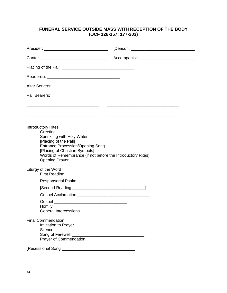### <span id="page-15-0"></span>**FUNERAL SERVICE OUTSIDE MASS WITH RECEPTION OF THE BODY (OCF 128-157; 177-203)**

| Pall Bearers:                                                                                                                                                                                                          |                                                 |  |
|------------------------------------------------------------------------------------------------------------------------------------------------------------------------------------------------------------------------|-------------------------------------------------|--|
|                                                                                                                                                                                                                        |                                                 |  |
| <b>Introductory Rites</b><br>Greeting<br>Sprinkling with Holy Water<br>[Placing of the Pall]<br>[Placing of Christian Symbols]<br>Words of Remembrance (if not before the Introductory Rites)<br><b>Opening Prayer</b> |                                                 |  |
| Liturgy of the Word                                                                                                                                                                                                    |                                                 |  |
|                                                                                                                                                                                                                        |                                                 |  |
|                                                                                                                                                                                                                        |                                                 |  |
|                                                                                                                                                                                                                        |                                                 |  |
| Homily<br>General Intercessions                                                                                                                                                                                        |                                                 |  |
| <b>Final Commendation</b><br><b>Invitation to Prayer</b><br>Silence<br>Song of Farewell<br><b>Prayer of Commendation</b>                                                                                               | <u> 1980 - Andrea Barbara, poeta esperanto-</u> |  |
|                                                                                                                                                                                                                        |                                                 |  |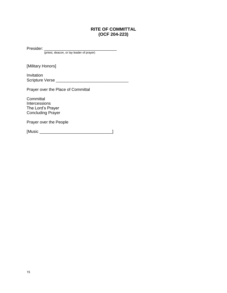### **RITE OF COMMITTAL (OCF 204-223)**

<span id="page-16-0"></span>Presider: \_\_\_\_\_\_\_\_\_\_\_\_\_\_\_\_\_\_\_\_\_\_\_\_\_\_\_\_\_\_\_\_

(priest, deacon, or lay leader of prayer)

[Military Honors]

Invitation Scripture Verse \_\_\_\_\_\_\_\_\_\_\_\_\_\_\_\_\_\_\_\_\_\_\_\_\_\_\_\_\_\_\_\_

Prayer over the Place of Committal

**Committal Intercessions** The Lord's Prayer Concluding Prayer

Prayer over the People

[Music \_\_\_\_\_\_\_\_\_\_\_\_\_\_\_\_\_\_\_\_\_\_\_\_\_\_\_\_\_\_\_\_]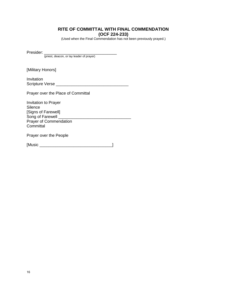### **RITE OF COMMITTAL WITH FINAL COMMENDATION (OCF 224-233)**

(Used when the Final Commendation has not been previously prayed.)

<span id="page-17-0"></span>Presider: \_\_\_\_\_\_\_\_\_\_\_\_\_\_\_\_\_\_\_\_\_\_\_\_\_\_\_\_\_\_\_\_

(priest, deacon, or lay leader of prayer)

[Military Honors]

Invitation Scripture Verse \_\_\_\_\_\_\_\_\_\_\_\_\_\_\_\_\_\_\_\_\_\_\_\_\_\_\_\_\_\_\_\_

Prayer over the Place of Committal

Invitation to Prayer **Silence** [Signs of Farewell] Song of Farewell Prayer of Commendation **Committal** 

Prayer over the People

[Music \_\_\_\_\_\_\_\_\_\_\_\_\_\_\_\_\_\_\_\_\_\_\_\_\_\_\_\_\_\_\_\_]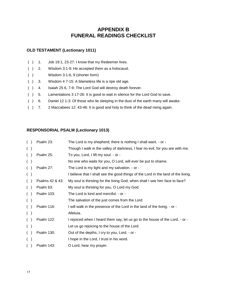# **APPENDIX B FUNERAL READINGS CHECKLIST**

### <span id="page-18-1"></span><span id="page-18-0"></span>**OLD TESTAMENT (Lectionary 1011)**

- () 1. Job 19:1, 23-27: I know that my Redeemer lives.
- ( ) 2. Wisdom 3:1-9: He accepted them as a holocaust.
- ( ) Wisdom 3:1-6, 9 (shorter form)
- ( ) 3. Wisdom 4 7-15: A blameless life is a ripe old age.
- ( ) 4. Isaiah 25 6, 7-9: The Lord God will destroy death forever.
- ( ) 5. Lamentations 3 17-26: It is good to wait in silence for the Lord God to save.
- ( ) 6. Daniel 12 1-3: Of those who lie sleeping in the dust of the earth many will awake.
- ( ) 7. 2 Maccabees 12: 43-46: It is good and holy to think of the dead rising again.

### <span id="page-18-2"></span>**RESPONSORIAL PSALM (Lectionary 1013)**

| (        | Psalm 23:         | The Lord is my shepherd; there is nothing I shall want. - or -                    |
|----------|-------------------|-----------------------------------------------------------------------------------|
| $($ )    |                   | Though I walk in the valley of darkness, I fear no evil, for you are with me.     |
| (        | Psalm 25:         | To you, Lord, I lift my soul. - or -                                              |
| $($ )    |                   | No one who waits for you, O Lord, will ever be put to shame.                      |
| $\left($ | Psalm 27:         | The Lord is my light and my salvation. - or -                                     |
| ( )      |                   | I believe that I shall see the good things of the Lord in the land of the living. |
| $($ )    | Psalms 42 & 43:   | My soul is thirsting for the living God; when shall I see him face to face?       |
| $($ )    | Psalm 63:         | My soul is thirsting for you, O Lord my God.                                      |
| $($ )    | Psalm 103:        | The Lord is kind and merciful. - or -                                             |
| ( )      |                   | The salvation of the just comes from the Lord.                                    |
| $($ )    | Psalm 116:        | I will walk in the presence of the Lord in the land of the living. - or -         |
| $($ )    |                   | Alleluia.                                                                         |
| (        | <b>Psalm 122:</b> | I rejoiced when I heard them say; let us go to the house of the Lord. - or -      |
| $($ )    |                   | Let us go rejoicing to the house of the Lord.                                     |
| $\left($ | <b>Psalm 130:</b> | Out of the depths, I cry to you, Lord. - or -                                     |
| $($ )    |                   | I hope in the Lord, I trust in his word.                                          |
|          | <b>Psalm 143:</b> | O Lord, hear my prayer.                                                           |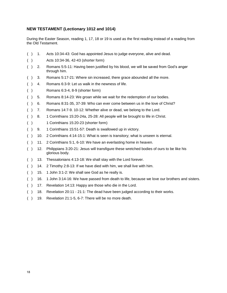#### <span id="page-19-0"></span>**NEW TESTAMENT (Lectionary 1012 and 1014)**

During the Easter Season, reading 1, 17, 18 or 19 is used as the first reading instead of a reading from the Old Testament.

- ( ) 1. Acts 10:34-43: God has appointed Jesus to judge everyone, alive and dead. ( ) Acts 10:34-36, 42-43 (shorter form) ( ) 2. Romans 5:5-11: Having been justified by his blood, we will be saved from God's anger through him. ( ) 3. Romans 5:17-21: Where sin increased, there grace abounded all the more. ( ) 4. Romans 6:3-9: Let us walk in the newness of life. ( ) Romans 6:3-4, 8-9 (shorter form) ( ) 5. Romans 8:14-23: We groan while we wait for the redemption of our bodies. ( ) 6. Romans 8:31-35, 37-39: Who can ever come between us in the love of Christ? ( ) 7. Romans 14:7-9. 10-12: Whether alive or dead, we belong to the Lord. ( ) 8. 1 Corinthians 15:20-24a, 25-28: All people will be brought to life in Christ. ( ) 1 Corinthians 15:20-23 (shorter form) ( ) 9. 1 Corinthians 15:51-57: Death is swallowed up in victory. ( ) 10. 2 Corinthians 4:14-15:1: What is seen is transitory; what is unseen is eternal. ( ) 11. 2 Corinthians 5:1, 6-10: We have an everlasting home in heaven. ( ) 12. Philippians 3:20-21: Jesus will transfigure these wretched bodies of ours to be like his glorious body. ( ) 13. Thessalonians 4:13-18: We shall stay with the Lord forever. ( ) 14. 2 Timothy 2:8-13: If we have died with him, we shall live with him. () 15. 1 John 3:1-2: We shall see God as he really is.
- ( ) 16. 1 John 3:14-16: We have passed from death to life, because we love our brothers and sisters.
- ( ) 17. Revelation 14:13: Happy are those who die in the Lord.
- ( ) 18. Revelation 20:11 21:1: The dead have been judged according to their works.
- ( ) 19. Revelation 21:1-5, 6-7: There will be no more death.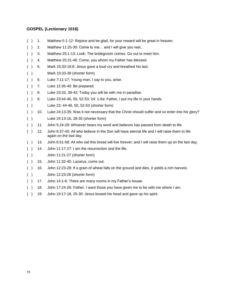#### <span id="page-20-0"></span>**GOSPEL (Lectionary 1016)**

- ( ) 1. Matthew 5:1-12: Rejoice and be glad, for your reward will be great in heaven.
- ( ) 2. Matthew 11:25-30: Come to me… and I will give you rest.
- ( ) 3. Matthew 25:1-13: Look. The bridegroom comes. Go out to meet him.
- ( ) 4. Matthew 25:31-46: Come, you whom my Father has blessed.
- ( ) 5. Mark 15:33-16:6: Jesus gave a loud cry and breathed his last.
- ( ) Mark 15:33-39 (shorter form)
- ( ) 6. Luke 7:11-17: Young man, I say to you, arise.
- ( ) 7. Luke 12:35-40: Be prepared.
- ( ) 8. Luke 23:33, 39-43: Today you will be with me in paradise.
- ( ) 9. Luke 23:44-46, 50, 52-53; 24: 1-6a: Father, I put my life in your hands.
- ( ) Luke 23: 44-46, 50, 52-53 (shorter form)
- ( ) 10. Luke 24:13-35: Was it not necessary that the Christ should suffer and so enter into his glory?
- ( ) Luke 24:13-16, 28-35 (shorter form)
- ( ) 11. John 5:24-29: Whoever hears my word and believes has passed from death to life.
- ( ) 12. John 6:37-40: All who believe in the Son will have eternal life and I will raise them to life again on the last day.
- ( ) 13. John 6:51-58: All who eat this bread will live forever; and I will raise them up on the last day.
- ( ) 14. John 11:17-27: I am the resurrection and the life.
- ( ) John 11:21-27 (shorter form)
- ( ) 15. John 11:32-45: Lazarus, come out.
- ( ) 16. John 12:23-28: If a grain of wheat falls on the ground and dies, it yields a rich harvest.
- ( ) John 12:23-26 (shorter form)
- ( ) 17. John 14:1-6: There are many rooms in my Father's house.
- ( ) 18. John 17:24-26: Father, I want those you have given me to be with me where I am.
- ( ) 19. John 19:17-18, 25-30: Jesus bowed his head and gave up his spirit.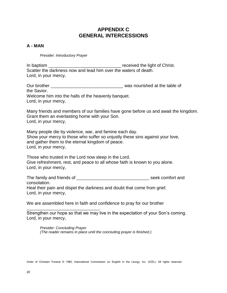# **APPENDIX C GENERAL INTERCESSIONS**

### <span id="page-21-0"></span>**A - MAN**

*Presider: Introductory Prayer*

In baptism **In the Christ** contract the light of Christ. Scatter the darkness now and lead him over the waters of death. Lord, in your mercy,

Our brother \_\_\_\_\_\_\_\_\_\_\_\_\_\_\_\_\_\_\_\_\_\_\_\_\_\_\_\_\_\_\_\_ was nourished at the table of the Savior. Welcome him into the halls of the heavenly banquet. Lord, in your mercy,

Many friends and members of our families have gone before us and await the kingdom. Grant them an everlasting home with your Son. Lord, in your mercy,

Many people die by violence, war, and famine each day. Show your mercy to those who suffer so unjustly these sins against your love, and gather them to the eternal kingdom of peace. Lord, in your mercy,

Those who trusted in the Lord now sleep in the Lord. Give refreshment, rest, and peace to all whose faith is known to you alone. Lord, in your mercy,

The family and friends of **Exercise 20** and the seek comfort and consolation. Heal their pain and dispel the darkness and doubt that come from grief. Lord, in your mercy,

We are assembled here in faith and confidence to pray for our brother

\_\_\_\_\_\_\_\_\_\_\_\_\_\_\_\_\_\_\_\_\_\_\_\_\_\_\_\_\_\_\_\_. Strengthen our hope so that we may live in the expectation of your Son's coming. Lord, in your mercy,

*Presider: Concluding Prayer (The reader remains in place until the concluding prayer is finished.)*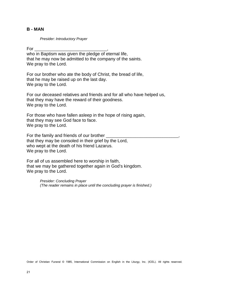#### **B - MAN**

*Presider: Introductory Prayer*

 $For \qquad \qquad$ who in Baptism was given the pledge of eternal life, that he may now be admitted to the company of the saints. We pray to the Lord.

For our brother who ate the body of Christ, the bread of life, that he may be raised up on the last day. We pray to the Lord.

For our deceased relatives and friends and for all who have helped us, that they may have the reward of their goodness. We pray to the Lord.

For those who have fallen asleep in the hope of rising again, that they may see God face to face. We pray to the Lord.

For the family and friends of our brother \_\_\_\_\_\_\_\_\_\_\_\_\_\_\_\_\_\_\_\_\_\_\_\_\_\_\_\_\_\_\_\_, that they may be consoled in their grief by the Lord, who wept at the death of his friend Lazarus. We pray to the Lord.

For all of us assembled here to worship in faith, that we may be gathered together again in God's kingdom. We pray to the Lord.

> *Presider: Concluding Prayer (The reader remains in place until the concluding prayer is finished.)*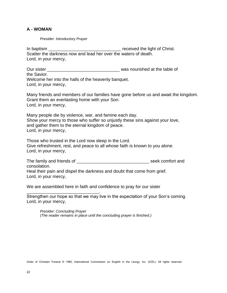### **A - WOMAN**

*Presider: Introductory Prayer*

\_\_\_\_\_\_\_\_\_\_\_\_\_\_\_\_\_\_\_\_\_\_\_\_\_\_\_\_\_\_\_\_.

In baptism \_\_\_\_\_\_\_\_\_\_\_\_\_\_\_\_\_\_\_\_\_\_\_\_\_\_\_\_\_\_\_\_ received the light of Christ. Scatter the darkness now and lead her over the waters of death. Lord, in your mercy,

Our sister **Our sister of the set of the table of the table of the table of the table of the table of the table of the table of the table of the table of the table of the table of the table of the table of the table of t** the Savior. Welcome her into the halls of the heavenly banquet.

Lord, in your mercy,

Many friends and members of our families have gone before us and await the kingdom. Grant them an everlasting home with your Son. Lord, in your mercy,

Many people die by violence, war, and famine each day. Show your mercy to those who suffer so unjustly these sins against your love, and gather them to the eternal kingdom of peace. Lord, in your mercy,

Those who trusted in the Lord now sleep in the Lord. Give refreshment, rest, and peace to all whose faith is known to you alone. Lord, in your mercy,

The family and friends of **Exercise 20** and the seek comfort and consolation. Heal their pain and dispel the darkness and doubt that come from grief. Lord, in your mercy,

We are assembled here in faith and confidence to pray for our sister

Strengthen our hope so that we may live in the expectation of your Son's coming. Lord, in your mercy,

*Presider: Concluding Prayer (The reader remains in place until the concluding prayer is finished.)*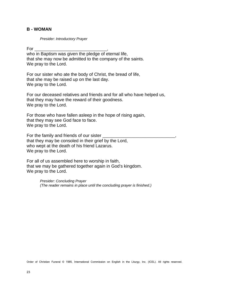### **B - WOMAN**

*Presider: Introductory Prayer*

 $For \qquad$ 

who in Baptism was given the pledge of eternal life, that she may now be admitted to the company of the saints. We pray to the Lord.

For our sister who ate the body of Christ, the bread of life, that she may be raised up on the last day. We pray to the Lord.

For our deceased relatives and friends and for all who have helped us, that they may have the reward of their goodness. We pray to the Lord.

For those who have fallen asleep in the hope of rising again, that they may see God face to face. We pray to the Lord.

For the family and friends of our sister  $\equiv$ that they may be consoled in their grief by the Lord, who wept at the death of his friend Lazarus. We pray to the Lord.

For all of us assembled here to worship in faith, that we may be gathered together again in God's kingdom. We pray to the Lord.

> *Presider: Concluding Prayer (The reader remains in place until the concluding prayer is finished.)*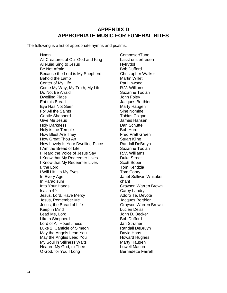# **APPENDIX D APPROPRIATE MUSIC FOR FUNERAL RITES**

<span id="page-25-0"></span>The following is a list of appropriate hymns and psalms.

| Hymn                              | Composer/Tune               |
|-----------------------------------|-----------------------------|
| All Creatures of Our God and King | Lasst uns erfreuen          |
| Alleluia! Sing to Jesus           | Hyfrydol                    |
| <b>Be Not Afraid</b>              | <b>Bob Dufford</b>          |
| Because the Lord is My Shepherd   | <b>Christopher Walker</b>   |
| <b>Behold the Lamb</b>            | <b>Martin Willet</b>        |
| Center of My Life                 | Paul Inwood                 |
| Come My Way, My Truth, My Life    | R.V. Williams               |
| Do Not Be Afraid                  | Suzanne Toolan              |
| <b>Dwelling Place</b>             | John Foley                  |
| Eat this Bread                    | Jacques Berthier            |
| Eye Has Not Seen                  | Marty Haugen                |
| For All the Saints                | <b>Sine Nomine</b>          |
| <b>Gentle Shepherd</b>            | <b>Tobias Colgan</b>        |
| Give Me Jesus                     | James Hansen                |
| <b>Holy Darkness</b>              | Dan Schutte                 |
| Holy is the Temple                | <b>Bob Hurd</b>             |
| How Blest Are They                | <b>Fred Pratt Green</b>     |
| <b>How Great Thou Art</b>         | <b>Stuart Kline</b>         |
| How Lovely Is Your Dwelling Place | <b>Randall DeBruyn</b>      |
| I Am the Bread of Life            | Suzanne Toolan              |
| I Heard the Voice of Jesus Say    | R.V. Williams               |
| I Know that My Redeemer Lives     | <b>Duke Street</b>          |
| I Know that My Redeemer Lives     | <b>Scott Soper</b>          |
| I, the Lord                       | <b>Tom Kendzia</b>          |
| I Will Lift Up My Eyes            | Tom Conry                   |
| In Every Age                      | Janet Sullivan Whitaker     |
| In Paradisum                      | chant                       |
| Into Your Hands                   | Grayson Warren Brown        |
| Isaiah 49                         | Carey Landry                |
| Jesus, Lord, Have Mercy           | Adoro Te, Devote            |
| Jesus, Remember Me                | Jacques Berthier            |
| Jesus, the Bread of Life          | <b>Grayson Warren Brown</b> |
| Keep in Mind                      | <b>Lucien Deiss</b>         |
| Lead Me, Lord                     | John D. Becker              |
| Like a Shepherd                   | <b>Bob Dufford</b>          |
| Lord of All Hopefulness           | Jan Struther                |
| Luke 2: Canticle of Simeon        | <b>Randall DeBruyn</b>      |
| May the Angels Lead You           | David Haas                  |
| May the Angles Lead You           | <b>Howard Hughes</b>        |
| My Soul in Stillness Waits        | Marty Haugen                |
| Nearer, My God, to Thee           | Lowell Mason                |
| O God, for You I Long             | <b>Bernadette Farrell</b>   |